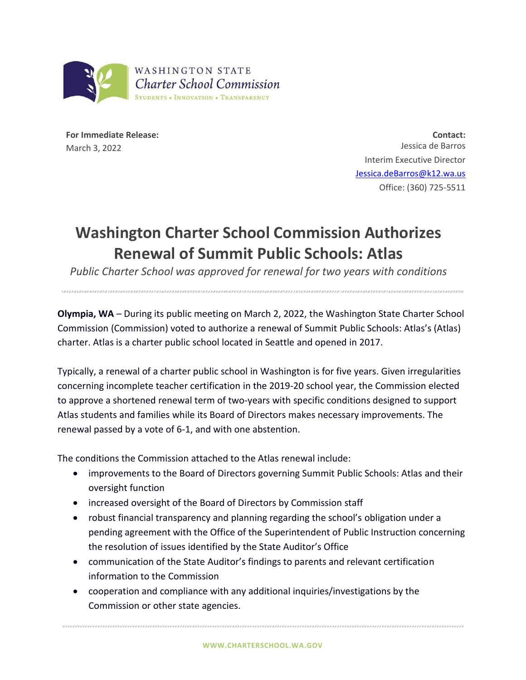

**For Immediate Release:** March 3, 2022

**Contact:** Jessica de Barros Interim Executive Director [Jessica.deBarros@k12.wa.us](mailto:Jessica.deBarros@k12.wa.us) Office: (360) 725-5511

## **Washington Charter School Commission Authorizes Renewal of Summit Public Schools: Atlas**

*Public Charter School was approved for renewal for two years with conditions*

**Olympia, WA** – During its public meeting on March 2, 2022, the Washington State Charter School Commission (Commission) voted to authorize a renewal of Summit Public Schools: Atlas's (Atlas) charter. Atlas is a charter public school located in Seattle and opened in 2017.

Typically, a renewal of a charter public school in Washington is for five years. Given irregularities concerning incomplete teacher certification in the 2019-20 school year, the Commission elected to approve a shortened renewal term of two-years with specific conditions designed to support Atlas students and families while its Board of Directors makes necessary improvements. The renewal passed by a vote of 6-1, and with one abstention.

The conditions the Commission attached to the Atlas renewal include:

- improvements to the Board of Directors governing Summit Public Schools: Atlas and their oversight function
- increased oversight of the Board of Directors by Commission staff
- robust financial transparency and planning regarding the school's obligation under a pending agreement with the Office of the Superintendent of Public Instruction concerning the resolution of issues identified by the State Auditor's Office
- communication of the State Auditor's findings to parents and relevant certification information to the Commission
- cooperation and compliance with any additional inquiries/investigations by the Commission or other state agencies.